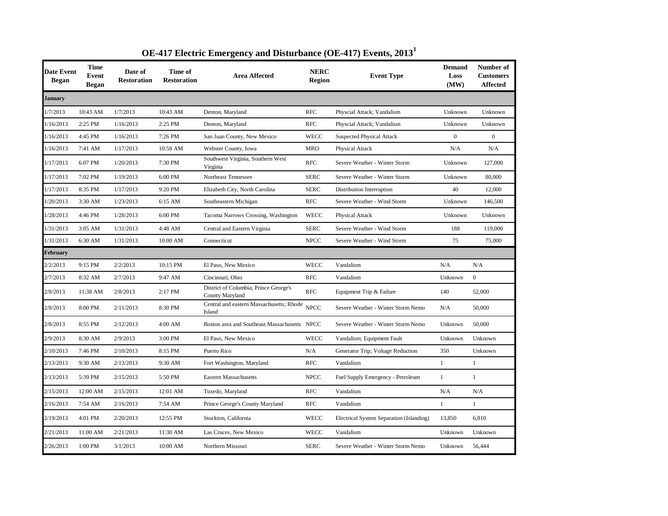| Date Event<br><b>Began</b> | <b>Time</b><br>Event<br><b>Began</b> | Date of<br><b>Restoration</b> | Time of<br><b>Restoration</b> | <b>Area Affected</b>                                     | <b>NERC</b><br><b>Region</b> | <b>Event Type</b>                        | <b>Demand</b><br>Loss<br>(MW) | Number of<br><b>Customers</b><br>Affected |
|----------------------------|--------------------------------------|-------------------------------|-------------------------------|----------------------------------------------------------|------------------------------|------------------------------------------|-------------------------------|-------------------------------------------|
| <b>January</b>             |                                      |                               |                               |                                                          |                              |                                          |                               |                                           |
| 1/7/2013                   | 10:43 AM                             | 1/7/2013                      | 10:43 AM                      | Denton, Maryland                                         | <b>RFC</b>                   | Physcial Attack; Vandalism               | Unknown                       | Unknown                                   |
| 1/16/2013                  | 2:25 PM                              | 1/16/2013                     | 2:25 PM                       | Denton, Maryland                                         | <b>RFC</b>                   | Physcial Attack; Vandalism               | Unknown                       | Unknown                                   |
| 1/16/2013                  | 4:45 PM                              | 1/16/2013                     | 7:26 PM                       | San Juan County, New Mexico                              | <b>WECC</b>                  | <b>Suspected Physical Attack</b>         | $\overline{0}$                | $\overline{0}$                            |
| 1/16/2013                  | 7:41 AM                              | 1/17/2013                     | 10:58 AM                      | Webster County, Iowa                                     | <b>MRO</b>                   | Physical Attack                          | N/A                           | N/A                                       |
| 1/17/2013                  | 6:07 PM                              | 1/20/2013                     | 7:30 PM                       | Southwest Virginia, Southern West<br>Virginia            | <b>RFC</b>                   | Severe Weather - Winter Storm            | Unknown                       | 127,000                                   |
| 1/17/2013                  | 7:02 PM                              | 1/19/2013                     | 6:00 PM                       | Northeast Tennessee                                      | <b>SERC</b>                  | Severe Weather - Winter Storm            | Unknown                       | 80,000                                    |
| 1/17/2013                  | 8:35 PM                              | 1/17/2013                     | 9:20 PM                       | Elizabeth City, North Carolina                           | <b>SERC</b>                  | Distribution Interruption                | 40                            | 12,000                                    |
| 1/20/2013                  | 3:30 AM                              | 1/23/2013                     | 6:15 AM                       | Southeastern Michigan                                    | <b>RFC</b>                   | Severe Weather - Wind Storm              | Unknown                       | 146,500                                   |
| 1/28/2013                  | 4:46 PM                              | 1/28/2013                     | 6:00 PM                       | Tacoma Narrows Crossing, Washington                      | <b>WECC</b>                  | Physical Attack                          | Unknown                       | Unknown                                   |
| 1/31/2013                  | 3:05 AM                              | 1/31/2013                     | 4:48 AM                       | Central and Eastern Virginia                             | <b>SERC</b>                  | Severe Weather - Wind Storm              | 188                           | 119,000                                   |
| 1/31/2013                  | 6:30 AM                              | 1/31/2013                     | 10:00 AM                      | Connecticut                                              | <b>NPCC</b>                  | Severe Weather - Wind Storm              | 75                            | 75,000                                    |
| February                   |                                      |                               |                               |                                                          |                              |                                          |                               |                                           |
| 2/2/2013                   | 9:15 PM                              | 2/2/2013                      | 10:15 PM                      | El Paso, New Mexico                                      | <b>WECC</b>                  | Vandalism                                | N/A                           | N/A                                       |
| 2/7/2013                   | 8:32 AM                              | 2/7/2013                      | 9:47 AM                       | Cincinnati, Ohio                                         | <b>RFC</b>                   | Vandalism                                | Unknown                       | $\overline{0}$                            |
| 2/8/2013                   | 11:38 AM                             | 2/8/2013                      | 2:17 PM                       | District of Columbia; Prince George's<br>County Maryland | <b>RFC</b>                   | Equipment Trip & Failure                 | 140                           | 52,000                                    |
| 2/8/2013                   | 8:00 PM                              | 2/11/2013                     | 8:30 PM                       | Central and eastern Massachusetts; Rhode<br>Island       | <b>NPCC</b>                  | Severe Weather - Winter Storm Nemo       | N/A                           | 50,000                                    |
| 2/8/2013                   | 8:55 PM                              | 2/12/2013                     | 4:00 AM                       | Boston area and Southeast Massachusetts NPCC             |                              | Severe Weather - Winter Storm Nemo       | Unknown                       | 50,000                                    |
| 2/9/2013                   | 8:30 AM                              | 2/9/2013                      | 3:00 PM                       | El Paso, New Mexico                                      | WECC                         | Vandalism; Equipment Fault               | Unknown                       | Unknown                                   |
| 2/10/2013                  | 7:46 PM                              | 2/10/2013                     | 8:15 PM                       | Puerto Rico                                              | N/A                          | Generator Trip; Voltage Reduction        | 350                           | Unknown                                   |
| 2/13/2013                  | 9:30 AM                              | 2/13/2013                     | 9:30 AM                       | Fort Washington, Maryland                                | <b>RFC</b>                   | Vandalism                                | $\mathbf{1}$                  | 1                                         |
| 2/13/2013                  | 5:39 PM                              | 2/15/2013                     | 5:50 PM                       | <b>Eastern Massachusetts</b>                             | <b>NPCC</b>                  | Fuel Supply Emergency - Petroleum        | $\mathbf{1}$                  | $\mathbf{1}$                              |
| 2/15/2013                  | 12:00 AM                             | 2/15/2013                     | 12:01 AM                      | Tuxedo, Maryland                                         | <b>RFC</b>                   | Vandalism                                | N/A                           | N/A                                       |
| 2/16/2013                  | 7:54 AM                              | 2/16/2013                     | 7:54 AM                       | Prince George's County Maryland                          | <b>RFC</b>                   | Vandalism                                | $\mathbf{1}$                  | $\mathbf{1}$                              |
| 2/19/2013                  | 4:01 PM                              | 2/20/2013                     | 12:55 PM                      | Stockton, California                                     | WECC                         | Electrical System Separation (Islanding) | 13,850                        | 6,810                                     |
| 2/21/2013                  | 11:00 AM                             | 2/21/2013                     | 11:30 AM                      | Las Cruces, New Mexico                                   | <b>WECC</b>                  | Vandalism                                | Unknown                       | Unknown                                   |
| 2/26/2013                  | 1:00 PM                              | 3/1/2013                      | 10:00 AM                      | Northern Missouri                                        | <b>SERC</b>                  | Severe Weather - Winter Storm Nemo       | Unknown                       | 56,444                                    |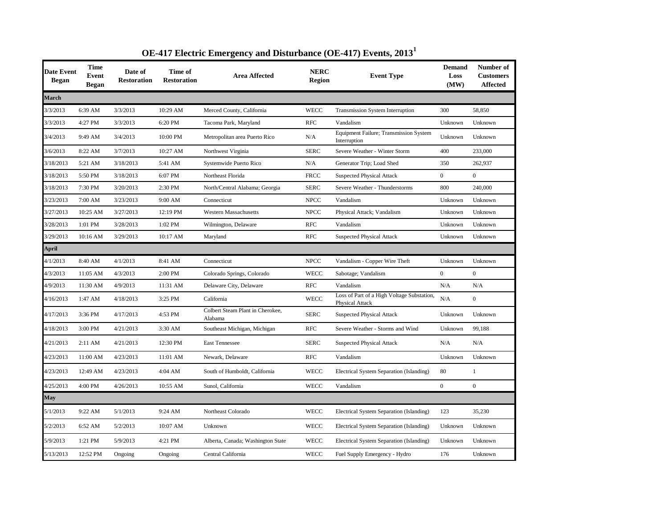| <b>Date Event</b><br><b>Began</b> | <b>Time</b><br><b>Event</b><br><b>Began</b> | Date of<br><b>Restoration</b> | Time of<br><b>Restoration</b> | <b>Area Affected</b>                        | <b>NERC</b><br>Region | <b>Event Type</b>                                             | <b>Demand</b><br>Loss<br>(MW) | Number of<br><b>Customers</b><br><b>Affected</b> |
|-----------------------------------|---------------------------------------------|-------------------------------|-------------------------------|---------------------------------------------|-----------------------|---------------------------------------------------------------|-------------------------------|--------------------------------------------------|
| <b>March</b>                      |                                             |                               |                               |                                             |                       |                                                               |                               |                                                  |
| 3/3/2013                          | 6:39 AM                                     | 3/3/2013                      | 10:29 AM                      | Merced County, California                   | <b>WECC</b>           | <b>Transmission System Interruption</b>                       | 300                           | 58,850                                           |
| 3/3/2013                          | 4:27 PM                                     | 3/3/2013                      | 6:20 PM                       | Tacoma Park, Maryland                       | <b>RFC</b>            | Vandalism                                                     | Unknown                       | Unknown                                          |
| 3/4/2013                          | 9:49 AM                                     | 3/4/2013                      | 10:00 PM                      | Metropolitan area Puerto Rico               | N/A                   | Equipment Failure; Transmission System<br>Interruption        | Unknown                       | Unknown                                          |
| 3/6/2013                          | 8:22 AM                                     | 3/7/2013                      | 10:27 AM                      | Northwest Virginia                          | <b>SERC</b>           | Severe Weather - Winter Storm                                 | 400                           | 233,000                                          |
| 3/18/2013                         | 5:21 AM                                     | 3/18/2013                     | 5:41 AM                       | Systemwide Puerto Rico                      | N/A                   | Generator Trip; Load Shed                                     | 350                           | 262,937                                          |
| 3/18/2013                         | 5:50 PM                                     | 3/18/2013                     | 6:07 PM                       | Northeast Florida                           | <b>FRCC</b>           | <b>Suspected Physical Attack</b>                              | $\overline{0}$                | $\overline{0}$                                   |
| 3/18/2013                         | 7:30 PM                                     | 3/20/2013                     | 2:30 PM                       | North/Central Alabama; Georgia              | <b>SERC</b>           | Severe Weather - Thunderstorms                                | 800                           | 240,000                                          |
| 3/23/2013                         | 7:00 AM                                     | 3/23/2013                     | 9:00 AM                       | Connecticut                                 | <b>NPCC</b>           | Vandalism                                                     | Unknown                       | Unknown                                          |
| 3/27/2013                         | 10:25 AM                                    | 3/27/2013                     | 12:19 PM                      | <b>Western Massachusetts</b>                | <b>NPCC</b>           | Physical Attack; Vandalism                                    | Unknown                       | Unknown                                          |
| 3/28/2013                         | 1:01 PM                                     | 3/28/2013                     | 1:02 PM                       | Wilmington, Delaware                        | <b>RFC</b>            | Vandalism                                                     | Unknown                       | Unknown                                          |
| 3/29/2013                         | 10:16 AM                                    | 3/29/2013                     | 10:17 AM                      | Maryland                                    | <b>RFC</b>            | <b>Suspected Physical Attack</b>                              | Unknown                       | Unknown                                          |
| April                             |                                             |                               |                               |                                             |                       |                                                               |                               |                                                  |
| 4/1/2013                          | 8:40 AM                                     | 4/1/2013                      | 8:41 AM                       | Connecticut                                 | <b>NPCC</b>           | Vandalism - Copper Wire Theft                                 | Unknown                       | Unknown                                          |
| 4/3/2013                          | 11:05 AM                                    | 4/3/2013                      | 2:00 PM                       | Colorado Springs, Colorado                  | <b>WECC</b>           | Sabotage; Vandalism                                           | $\overline{0}$                | $\mathbf{0}$                                     |
| 4/9/2013                          | 11:30 AM                                    | 4/9/2013                      | 11:31 AM                      | Delaware City, Delaware                     | <b>RFC</b>            | Vandalism                                                     | N/A                           | N/A                                              |
| 4/16/2013                         | 1:47 AM                                     | 4/18/2013                     | 3:25 PM                       | California                                  | <b>WECC</b>           | Loss of Part of a High Voltage Substation,<br>Physical Attack | N/A                           | $\boldsymbol{0}$                                 |
| 4/17/2013                         | 3:36 PM                                     | 4/17/2013                     | 4:53 PM                       | Colbert Steam Plant in Cherokee,<br>Alabama | <b>SERC</b>           | <b>Suspected Physical Attack</b>                              | Unknown                       | Unknown                                          |
| 4/18/2013                         | 3:00 PM                                     | 4/21/2013                     | 3:30 AM                       | Southeast Michigan, Michigan                | <b>RFC</b>            | Severe Weather - Storms and Wind                              | Unknown                       | 99,188                                           |
| 4/21/2013                         | $2:11$ AM                                   | 4/21/2013                     | 12:30 PM                      | <b>East Tennessee</b>                       | <b>SERC</b>           | <b>Suspected Physical Attack</b>                              | N/A                           | N/A                                              |
| 4/23/2013                         | 11:00 AM                                    | 4/23/2013                     | 11:01 AM                      | Newark, Delaware                            | <b>RFC</b>            | Vandalism                                                     | Unknown                       | Unknown                                          |
| 4/23/2013                         | 12:49 AM                                    | 4/23/2013                     | 4:04 AM                       | South of Humboldt, California               | <b>WECC</b>           | Electrical System Separation (Islanding)                      | 80                            | $\mathbf{1}$                                     |
| 4/25/2013                         | 4:00 PM                                     | 4/26/2013                     | 10:55 AM                      | Sunol, California                           | <b>WECC</b>           | Vandalism                                                     | $\overline{0}$                | $\boldsymbol{0}$                                 |
| May                               |                                             |                               |                               |                                             |                       |                                                               |                               |                                                  |
| 5/1/2013                          | 9:22 AM                                     | 5/1/2013                      | 9:24 AM                       | Northeast Colorado                          | WECC                  | Electrical System Separation (Islanding)                      | 123                           | 35,230                                           |
| 5/2/2013                          | 6:52 AM                                     | 5/2/2013                      | 10:07 AM                      | Unknown                                     | <b>WECC</b>           | Electrical System Separation (Islanding)                      | Unknown                       | Unknown                                          |
| 5/9/2013                          | 1:21 PM                                     | 5/9/2013                      | 4:21 PM                       | Alberta, Canada; Washington State           | <b>WECC</b>           | Electrical System Separation (Islanding)                      | Unknown                       | Unknown                                          |
| 5/13/2013                         | 12:52 PM                                    | Ongoing                       | Ongoing                       | Central California                          | <b>WECC</b>           | Fuel Supply Emergency - Hydro                                 | 176                           | Unknown                                          |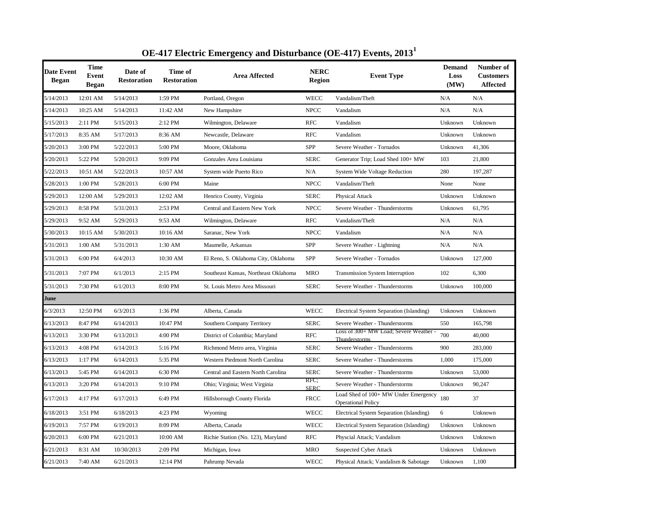| <b>Date Event</b><br><b>Began</b> | <b>Time</b><br>Event<br>Began | Date of<br><b>Restoration</b> | Time of<br><b>Restoration</b> | <b>Area Affected</b>                 | <b>NERC</b><br>Region | <b>Event Type</b>                                                 | <b>Demand</b><br>Loss<br>(MW) | Number of<br><b>Customers</b><br><b>Affected</b> |
|-----------------------------------|-------------------------------|-------------------------------|-------------------------------|--------------------------------------|-----------------------|-------------------------------------------------------------------|-------------------------------|--------------------------------------------------|
| 5/14/2013                         | 12:01 AM                      | 5/14/2013                     | 1:59 PM                       | Portland, Oregon                     | <b>WECC</b>           | Vandalism/Theft                                                   | N/A                           | N/A                                              |
| 5/14/2013                         | 10:25 AM                      | 5/14/2013                     | 11:42 AM                      | New Hampshire                        | <b>NPCC</b>           | Vandalism                                                         | N/A                           | N/A                                              |
| 5/15/2013                         | 2:11 PM                       | 5/15/2013                     | 2:12 PM                       | Wilmington, Delaware                 | <b>RFC</b>            | Vandalism                                                         | Unknown                       | Unknown                                          |
| 5/17/2013                         | 8:35 AM                       | 5/17/2013                     | 8:36 AM                       | Newcastle, Delaware                  | <b>RFC</b>            | Vandalism                                                         | Unknown                       | Unknown                                          |
| 5/20/2013                         | 3:00 PM                       | 5/22/2013                     | 5:00 PM                       | Moore, Oklahoma                      | <b>SPP</b>            | Severe Weather - Tornados                                         | Unknown                       | 41,306                                           |
| 5/20/2013                         | 5:22 PM                       | 5/20/2013                     | 9:09 PM                       | Gonzales Area Louisiana              | <b>SERC</b>           | Generator Trip; Load Shed 100+ MW                                 | 103                           | 21,800                                           |
| 5/22/2013                         | 10:51 AM                      | 5/22/2013                     | 10:57 AM                      | System wide Puerto Rico              | N/A                   | <b>System Wide Voltage Reduction</b>                              | 280                           | 197,287                                          |
| 5/28/2013                         | 1:00 PM                       | 5/28/2013                     | 6:00 PM                       | Maine                                | <b>NPCC</b>           | Vandalism/Theft                                                   | None                          | None                                             |
| 5/29/2013                         | 12:00 AM                      | 5/29/2013                     | 12:02 AM                      | Henrico County, Virginia             | <b>SERC</b>           | Physical Attack                                                   | Unknown                       | Unknown                                          |
| 5/29/2013                         | 8:58 PM                       | 5/31/2013                     | 2:53 PM                       | Central and Eastern New York         | <b>NPCC</b>           | Severe Weather - Thunderstorms                                    | Unknown                       | 61,795                                           |
| 5/29/2013                         | 9:52 AM                       | 5/29/2013                     | 9:53 AM                       | Wilmington, Delaware                 | <b>RFC</b>            | Vandalism/Theft                                                   | N/A                           | N/A                                              |
| 5/30/2013                         | 10:15 AM                      | 5/30/2013                     | 10:16 AM                      | Saranac, New York                    | <b>NPCC</b>           | Vandalism                                                         | N/A                           | N/A                                              |
| 5/31/2013                         | 1:00 AM                       | 5/31/2013                     | 1:30 AM                       | Maumelle, Arkansas                   | <b>SPP</b>            | Severe Weather - Lightning                                        | N/A                           | N/A                                              |
| 5/31/2013                         | 6:00 PM                       | 6/4/2013                      | 10:30 AM                      | El Reno, S. Oklahoma City, Oklahoma  | SPP                   | Severe Weather - Tornados                                         | Unknown                       | 127,000                                          |
| 5/31/2013                         | 7:07 PM                       | 6/1/2013                      | 2:15 PM                       | Southeast Kansas, Northeast Oklahoma | <b>MRO</b>            | <b>Transmission System Interruption</b>                           | 102                           | 6,300                                            |
| 5/31/2013                         | 7:30 PM                       | 6/1/2013                      | 8:00 PM                       | St. Louis Metro Area Missouri        | <b>SERC</b>           | Severe Weather - Thunderstorms                                    | Unknown                       | 100,000                                          |
| June                              |                               |                               |                               |                                      |                       |                                                                   |                               |                                                  |
| 6/3/2013                          | 12:50 PM                      | 6/3/2013                      | 1:36 PM                       | Alberta, Canada                      | <b>WECC</b>           | Electrical System Separation (Islanding)                          | Unknown                       | Unknown                                          |
| 6/13/2013                         | 8:47 PM                       | 6/14/2013                     | 10:47 PM                      | Southern Company Territory           | <b>SERC</b>           | Severe Weather - Thunderstorms                                    | 550                           | 165,798                                          |
| 6/13/2013                         | 3:30 PM                       | 6/13/2013                     | 4:00 PM                       | District of Columbia; Maryland       | <b>RFC</b>            | Loss of 300+ MW Load; Severe Weather<br>Thunderstorms             | 700                           | 40,000                                           |
| 6/13/2013                         | 4:08 PM                       | 6/14/2013                     | 5:16 PM                       | Richmond Metro area, Virginia        | <b>SERC</b>           | Severe Weather - Thunderstorms                                    | 900                           | 283,000                                          |
| 6/13/2013                         | 1:17 PM                       | 6/14/2013                     | 5:35 PM                       | Western Piedmont North Carolina      | <b>SERC</b>           | Severe Weather - Thunderstorms                                    | 1,000                         | 175,000                                          |
| 6/13/2013                         | 5:45 PM                       | 6/14/2013                     | 6:30 PM                       | Central and Eastern North Carolina   | <b>SERC</b>           | Severe Weather - Thunderstorms                                    | Unknown                       | 53,000                                           |
| 6/13/2013                         | 3:20 PM                       | 6/14/2013                     | 9:10 PM                       | Ohio; Virginia; West Virginia        | RFC;<br><b>SERC</b>   | Severe Weather - Thunderstorms                                    | Unknown                       | 90,247                                           |
| 6/17/2013                         | 4:17 PM                       | 6/17/2013                     | 6:49 PM                       | Hillsborough County Florida          | <b>FRCC</b>           | Load Shed of 100+ MW Under Emergency<br><b>Operational Policy</b> | 180                           | 37                                               |
| 6/18/2013                         | 3:51 PM                       | 6/18/2013                     | 4:23 PM                       | Wyoming                              | <b>WECC</b>           | <b>Electrical System Separation (Islanding)</b>                   | 6                             | Unknown                                          |
| 6/19/2013                         | 7:57 PM                       | 6/19/2013                     | 8:09 PM                       | Alberta, Canada                      | <b>WECC</b>           | Electrical System Separation (Islanding)                          | Unknown                       | Unknown                                          |
| 6/20/2013                         | 6:00 PM                       | 6/21/2013                     | 10:00 AM                      | Richie Station (No. 123), Maryland   | <b>RFC</b>            | Physcial Attack; Vandalism                                        | Unknown                       | Unknown                                          |
| 6/21/2013                         | 8:31 AM                       | 10/30/2013                    | 2:09 PM                       | Michigan, Iowa                       | <b>MRO</b>            | <b>Suspected Cyber Attack</b>                                     | Unknown                       | Unknown                                          |
| 6/21/2013                         | 7:40 AM                       | 6/21/2013                     | 12:14 PM                      | Pahrump Nevada                       | <b>WECC</b>           | Physical Attack; Vandalism & Sabotage                             | Unknown                       | 1,100                                            |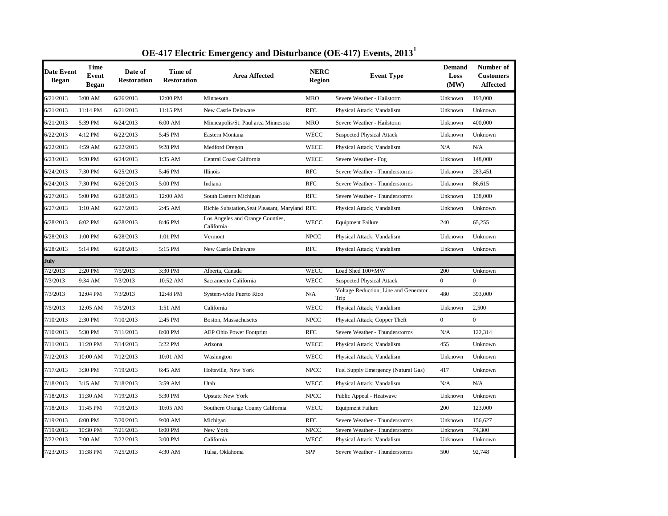| <b>Date Event</b><br><b>Began</b> | <b>Time</b><br><b>Event</b><br><b>Began</b> | Date of<br><b>Restoration</b> | Time of<br><b>Restoration</b> | <b>Area Affected</b>                           | <b>NERC</b><br>Region | <b>Event Type</b>                             | <b>Demand</b><br>Loss<br>(MW) | Number of<br><b>Customers</b><br><b>Affected</b> |
|-----------------------------------|---------------------------------------------|-------------------------------|-------------------------------|------------------------------------------------|-----------------------|-----------------------------------------------|-------------------------------|--------------------------------------------------|
| 6/21/2013                         | 3:00 AM                                     | 6/26/2013                     | 12:00 PM                      | Minnesota                                      | <b>MRO</b>            | Severe Weather - Hailstorm                    | Unknown                       | 193,000                                          |
| 6/21/2013                         | 11:14 PM                                    | 6/21/2013                     | 11:15 PM                      | New Castle Delaware                            | <b>RFC</b>            | Physical Attack; Vandalism                    | Unknown                       | Unknown                                          |
| 6/21/2013                         | 5:39 PM                                     | 6/24/2013                     | 6:00 AM                       | Minneapolis/St. Paul area Minnesota            | <b>MRO</b>            | Severe Weather - Hailstorm                    | Unknown                       | 400,000                                          |
| 6/22/2013                         | 4:12 PM                                     | 6/22/2013                     | 5:45 PM                       | Eastern Montana                                | <b>WECC</b>           | <b>Suspected Physical Attack</b>              | Unknown                       | Unknown                                          |
| 6/22/2013                         | 4:59 AM                                     | 6/22/2013                     | 9:28 PM                       | Medford Oregon                                 | <b>WECC</b>           | Physical Attack; Vandalism                    | N/A                           | N/A                                              |
| 6/23/2013                         | 9:20 PM                                     | 6/24/2013                     | 1:35 AM                       | Central Coast California                       | <b>WECC</b>           | Severe Weather - Fog                          | Unknown                       | 148,000                                          |
| 6/24/2013                         | 7:30 PM                                     | 6/25/2013                     | 5:46 PM                       | Illinois                                       | <b>RFC</b>            | Severe Weather - Thunderstorms                | Unknown                       | 283,451                                          |
| 6/24/2013                         | 7:30 PM                                     | 6/26/2013                     | 5:00 PM                       | Indiana                                        | <b>RFC</b>            | Severe Weather - Thunderstorms                | Unknown                       | 86,615                                           |
| 6/27/2013                         | 5:00 PM                                     | 6/28/2013                     | 12:00 AM                      | South Eastern Michigan                         | <b>RFC</b>            | Severe Weather - Thunderstorms                | Unknown                       | 138,000                                          |
| 6/27/2013                         | 1:10 AM                                     | 6/27/2013                     | 2:45 AM                       | Richie Substation, Seat Pleasant, Maryland RFC |                       | Physical Attack; Vandalism                    | Unknown                       | Unknown                                          |
| 6/28/2013                         | 6:02 PM                                     | 6/28/2013                     | 8:46 PM                       | Los Angeles and Orange Counties,<br>California | <b>WECC</b>           | <b>Equipment Failure</b>                      | 240                           | 65,255                                           |
| 6/28/2013                         | 1:00 PM                                     | 6/28/2013                     | 1:01 PM                       | Vermont                                        | <b>NPCC</b>           | Physical Attack; Vandalism                    | Unknown                       | Unknown                                          |
| 6/28/2013                         | 5:14 PM                                     | 6/28/2013                     | 5:15 PM                       | New Castle Delaware                            | <b>RFC</b>            | Physical Attack; Vandalism                    | Unknown                       | Unknown                                          |
| July                              |                                             |                               |                               |                                                |                       |                                               |                               |                                                  |
| 7/2/2013                          | 2:20 PM                                     | 7/5/2013                      | 3:30 PM                       | Alberta, Canada                                | <b>WECC</b>           | Load Shed 100+MW                              | 200                           | Unknown                                          |
| 7/3/2013                          | 9:34 AM                                     | 7/3/2013                      | 10:52 AM                      | Sacramento California                          | <b>WECC</b>           | <b>Suspected Physical Attack</b>              | $\overline{0}$                | $\boldsymbol{0}$                                 |
| 7/3/2013                          | 12:04 PM                                    | 7/3/2013                      | 12:48 PM                      | System-wide Puerto Rico                        | N/A                   | Voltage Reduction; Line and Generator<br>Trip | 480                           | 393,000                                          |
| 7/5/2013                          | 12:05 AM                                    | 7/5/2013                      | 1:51 AM                       | California                                     | WECC                  | Physical Attack; Vandalism                    | Unknown                       | 2,500                                            |
| 7/10/2013                         | 2:30 PM                                     | 7/10/2013                     | 2:45 PM                       | Boston, Massachusetts                          | <b>NPCC</b>           | Physical Attack; Copper Theft                 | $\overline{0}$                | $\overline{0}$                                   |
| 7/10/2013                         | 5:30 PM                                     | 7/11/2013                     | 8:00 PM                       | <b>AEP Ohio Power Footprint</b>                | <b>RFC</b>            | Severe Weather - Thunderstorms                | N/A                           | 122,314                                          |
| 7/11/2013                         | 11:20 PM                                    | 7/14/2013                     | 3:22 PM                       | Arizona                                        | <b>WECC</b>           | Physical Attack; Vandalism                    | 455                           | Unknown                                          |
| 7/12/2013                         | 10:00 AM                                    | 7/12/2013                     | 10:01 AM                      | Washington                                     | <b>WECC</b>           | Physical Attack; Vandalism                    | Unknown                       | Unknown                                          |
| 7/17/2013                         | 3:30 PM                                     | 7/19/2013                     | 6:45 AM                       | Holtsville, New York                           | <b>NPCC</b>           | Fuel Supply Emergency (Natural Gas)           | 417                           | Unknown                                          |
| 7/18/2013                         | 3:15 AM                                     | 7/18/2013                     | 3:59 AM                       | Utah                                           | WECC                  | Physical Attack; Vandalism                    | N/A                           | N/A                                              |
| 7/18/2013                         | 11:30 AM                                    | 7/19/2013                     | 5:30 PM                       | <b>Upstate New York</b>                        | <b>NPCC</b>           | Public Appeal - Heatwave                      | Unknown                       | Unknown                                          |
| 7/18/2013                         | 11:45 PM                                    | 7/19/2013                     | 10:05 AM                      | Southern Orange County California              | <b>WECC</b>           | <b>Equipment Failure</b>                      | 200                           | 123,000                                          |
| 7/19/2013                         | 6:00 PM                                     | 7/20/2013                     | 9:00 AM                       | Michigan                                       | <b>RFC</b>            | Severe Weather - Thunderstorms                | Unknown                       | 156,627                                          |
| 7/19/2013                         | 10:30 PM                                    | 7/21/2013                     | 8:00 PM                       | New York                                       | <b>NPCC</b>           | Severe Weather - Thunderstorms                | Unknown                       | 74,300                                           |
| 7/22/2013                         | 7:00 AM                                     | 7/22/2013                     | 3:00 PM                       | California                                     | <b>WECC</b>           | Physical Attack; Vandalism                    | Unknown                       | Unknown                                          |
| 7/23/2013                         | 11:38 PM                                    | 7/25/2013                     | 4:30 AM                       | Tulsa, Oklahoma                                | SPP                   | Severe Weather - Thunderstorms                | 500                           | 92,748                                           |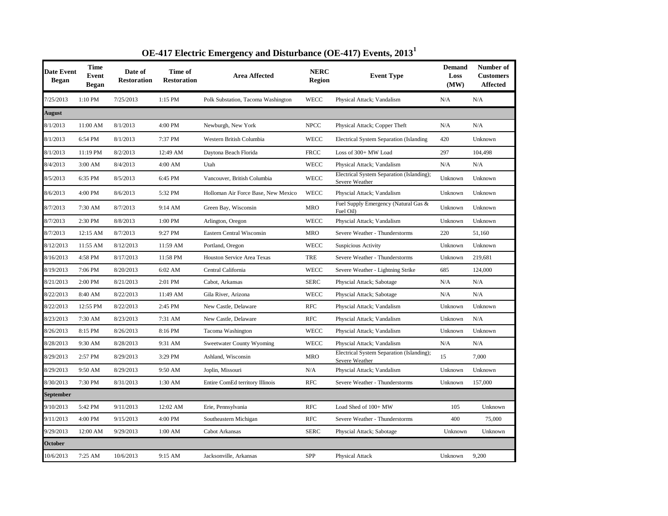| Date Event<br><b>Began</b> | <b>Time</b><br>Event<br><b>Began</b> | Date of<br><b>Restoration</b> | Time of<br><b>Restoration</b> | <b>Area Affected</b>                | <b>NERC</b><br><b>Region</b> | <b>Event Type</b>                                           | <b>Demand</b><br>Loss<br>(MW) | Number of<br><b>Customers</b><br><b>Affected</b> |
|----------------------------|--------------------------------------|-------------------------------|-------------------------------|-------------------------------------|------------------------------|-------------------------------------------------------------|-------------------------------|--------------------------------------------------|
| 7/25/2013                  | 1:10 PM                              | 7/25/2013                     | 1:15 PM                       | Polk Substation, Tacoma Washington  | <b>WECC</b>                  | Physical Attack; Vandalism                                  | N/A                           | N/A                                              |
| August                     |                                      |                               |                               |                                     |                              |                                                             |                               |                                                  |
| 8/1/2013                   | 11:00 AM                             | 8/1/2013                      | 4:00 PM                       | Newburgh, New York                  | <b>NPCC</b>                  | Physical Attack; Copper Theft                               | N/A                           | N/A                                              |
| 8/1/2013                   | 6:54 PM                              | 8/1/2013                      | 7:37 PM                       | Western British Columbia            | <b>WECC</b>                  | Electrical System Separation (Islanding                     | 420                           | Unknown                                          |
| 8/1/2013                   | 11:19 PM                             | 8/2/2013                      | 12:49 AM                      | Daytona Beach Florida               | <b>FRCC</b>                  | Loss of 300+ MW Load                                        | 297                           | 104,498                                          |
| 8/4/2013                   | $3:00$ AM                            | 8/4/2013                      | 4:00 AM                       | Utah                                | <b>WECC</b>                  | Physical Attack; Vandalism                                  | N/A                           | N/A                                              |
| 8/5/2013                   | 6:35 PM                              | 8/5/2013                      | 6:45 PM                       | Vancouver, British Columbia         | <b>WECC</b>                  | Electrical System Separation (Islanding);<br>Severe Weather | Unknown                       | Unknown                                          |
| 8/6/2013                   | 4:00 PM                              | 8/6/2013                      | 5:32 PM                       | Holloman Air Force Base, New Mexico | <b>WECC</b>                  | Physcial Attack; Vandalism                                  | Unknown                       | Unknown                                          |
| 8/7/2013                   | 7:30 AM                              | 8/7/2013                      | 9:14 AM                       | Green Bay, Wisconsin                | <b>MRO</b>                   | Fuel Supply Emergency (Natural Gas &<br>Fuel Oil)           | Unknown                       | Unknown                                          |
| 8/7/2013                   | 2:30 PM                              | 8/8/2013                      | 1:00 PM                       | Arlington, Oregon                   | <b>WECC</b>                  | Physcial Attack; Vandalism                                  | Unknown                       | Unknown                                          |
| 8/7/2013                   | 12:15 AM                             | 8/7/2013                      | 9:27 PM                       | Eastern Central Wisconsin           | <b>MRO</b>                   | Severe Weather - Thunderstorms                              | 220                           | 51,160                                           |
| 8/12/2013                  | 11:55 AM                             | 8/12/2013                     | 11:59 AM                      | Portland, Oregon                    | <b>WECC</b>                  | Suspicious Activity                                         | Unknown                       | Unknown                                          |
| 8/16/2013                  | 4:58 PM                              | 8/17/2013                     | 11:58 PM                      | <b>Houston Service Area Texas</b>   | TRE                          | Severe Weather - Thunderstorms                              | Unknown                       | 219.681                                          |
| 8/19/2013                  | 7:06 PM                              | 8/20/2013                     | 6:02 AM                       | Central California                  | <b>WECC</b>                  | Severe Weather - Lightning Strike                           | 685                           | 124,000                                          |
| 8/21/2013                  | 2:00 PM                              | 8/21/2013                     | 2:01 PM                       | Cabot, Arkansas                     | <b>SERC</b>                  | Physcial Attack; Sabotage                                   | N/A                           | N/A                                              |
| 8/22/2013                  | 8:40 AM                              | 8/22/2013                     | 11:49 AM                      | Gila River, Arizona                 | <b>WECC</b>                  | Physcial Attack; Sabotage                                   | N/A                           | N/A                                              |
| 8/22/2013                  | 12:55 PM                             | 8/22/2013                     | 2:45 PM                       | New Castle, Delaware                | <b>RFC</b>                   | Physcial Attack; Vandalism                                  | Unknown                       | Unknown                                          |
| 8/23/2013                  | 7:30 AM                              | 8/23/2013                     | 7:31 AM                       | New Castle, Delaware                | <b>RFC</b>                   | Physcial Attack; Vandalism                                  | Unknown                       | N/A                                              |
| 8/26/2013                  | 8:15 PM                              | 8/26/2013                     | 8:16 PM                       | Tacoma Washington                   | <b>WECC</b>                  | Physcial Attack; Vandalism                                  | Unknown                       | Unknown                                          |
| 8/28/2013                  | 9:30 AM                              | 8/28/2013                     | 9:31 AM                       | Sweetwater County Wyoming           | <b>WECC</b>                  | Physcial Attack; Vandalism                                  | N/A                           | N/A                                              |
| 8/29/2013                  | 2:57 PM                              | 8/29/2013                     | 3:29 PM                       | Ashland, Wisconsin                  | <b>MRO</b>                   | Electrical System Separation (Islanding);<br>Severe Weather | 15                            | 7,000                                            |
| 8/29/2013                  | 9:50 AM                              | 8/29/2013                     | 9:50 AM                       | Joplin, Missouri                    | N/A                          | Physcial Attack; Vandalism                                  | Unknown                       | Unknown                                          |
| 8/30/2013                  | 7:30 PM                              | 8/31/2013                     | 1:30 AM                       | Entire ComEd territory Illinois     | <b>RFC</b>                   | Severe Weather - Thunderstorms                              | Unknown                       | 157,000                                          |
| <b>September</b>           |                                      |                               |                               |                                     |                              |                                                             |                               |                                                  |
| 9/10/2013                  | 5:42 PM                              | 9/11/2013                     | 12:02 AM                      | Erie, Pennsylvania                  | <b>RFC</b>                   | Load Shed of 100+ MW                                        | 105                           | Unknown                                          |
| 9/11/2013                  | 4:00 PM                              | 9/15/2013                     | 4:00 PM                       | Southeastern Michigan               | <b>RFC</b>                   | Severe Weather - Thunderstorms                              | 400                           | 75,000                                           |
| 9/29/2013                  | 12:00 AM                             | 9/29/2013                     | 1:00 AM                       | Cabot Arkansas                      | <b>SERC</b>                  | Physcial Attack; Sabotage                                   | Unknown                       | Unknown                                          |
| <b>October</b>             |                                      |                               |                               |                                     |                              |                                                             |                               |                                                  |
| 10/6/2013                  | 7:25 AM                              | 10/6/2013                     | 9:15 AM                       | Jacksonville, Arkansas              | <b>SPP</b>                   | Physical Attack                                             | Unknown                       | 9,200                                            |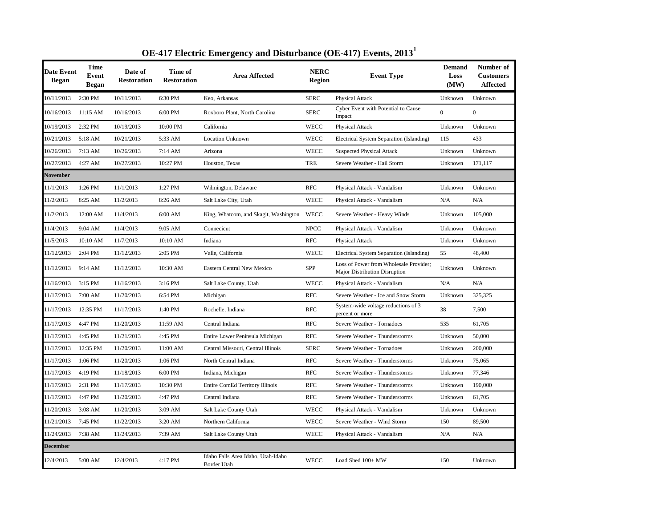| Date Event<br><b>Began</b> | Time<br>Event<br>Began | Date of<br><b>Restoration</b> | Time of<br><b>Restoration</b> | <b>Area Affected</b>                              | <b>NERC</b><br><b>Region</b> | <b>Event Type</b>                                                              | <b>Demand</b><br>Loss<br>(MW) | Number of<br><b>Customers</b><br><b>Affected</b> |
|----------------------------|------------------------|-------------------------------|-------------------------------|---------------------------------------------------|------------------------------|--------------------------------------------------------------------------------|-------------------------------|--------------------------------------------------|
| 10/11/2013                 | 2:30 PM                | 10/11/2013                    | 6:30 PM                       | Keo, Arkansas                                     | <b>SERC</b>                  | Physical Attack                                                                | Unknown                       | Unknown                                          |
| 10/16/2013                 | 11:15 AM               | 10/16/2013                    | 6:00 PM                       | Roxboro Plant, North Carolina                     | <b>SERC</b>                  | Cyber Event with Potential to Cause<br>Impact                                  | $\overline{0}$                | $\boldsymbol{0}$                                 |
| 10/19/2013                 | 2:32 PM                | 10/19/2013                    | 10:00 PM                      | California                                        | <b>WECC</b>                  | Physical Attack                                                                | Unknown                       | Unknown                                          |
| 10/21/2013                 | 5:18 AM                | 10/21/2013                    | 5:33 AM                       | <b>Location Unknown</b>                           | <b>WECC</b>                  | Electrical System Separation (Islanding)                                       | 115                           | 433                                              |
| 10/26/2013                 | 7:13 AM                | 10/26/2013                    | 7:14 AM                       | Arizona                                           | <b>WECC</b>                  | <b>Suspected Physical Attack</b>                                               | Unknown                       | Unknown                                          |
| 10/27/2013                 | 4:27 AM                | 10/27/2013                    | 10:27 PM                      | Houston, Texas                                    | <b>TRE</b>                   | Severe Weather - Hail Storm                                                    | Unknown                       | 171,117                                          |
| November                   |                        |                               |                               |                                                   |                              |                                                                                |                               |                                                  |
| 11/1/2013                  | 1:26 PM                | 11/1/2013                     | 1:27 PM                       | Wilmington, Delaware                              | <b>RFC</b>                   | Physical Attack - Vandalism                                                    | Unknown                       | Unknown                                          |
| 11/2/2013                  | 8:25 AM                | 11/2/2013                     | 8:26 AM                       | Salt Lake City, Utah                              | <b>WECC</b>                  | Physical Attack - Vandalism                                                    | N/A                           | N/A                                              |
| 11/2/2013                  | 12:00 AM               | 11/4/2013                     | 6:00 AM                       | King, Whatcom, and Skagit, Washington             | WECC                         | Severe Weather - Heavy Winds                                                   | Unknown                       | 105,000                                          |
| 11/4/2013                  | 9:04 AM                | 11/4/2013                     | 9:05 AM                       | Connecicut                                        | <b>NPCC</b>                  | Physical Attack - Vandalism                                                    | Unknown                       | Unknown                                          |
| 11/5/2013                  | 10:10 AM               | 11/7/2013                     | 10:10 AM                      | Indiana                                           | <b>RFC</b>                   | Physical Attack                                                                | Unknown                       | Unknown                                          |
| 11/12/2013                 | $2:04$ PM              | 11/12/2013                    | 2:05 PM                       | Valle, California                                 | <b>WECC</b>                  | Electrical System Separation (Islanding)                                       | 55                            | 48,400                                           |
| 11/12/2013                 | 9:14 AM                | 11/12/2013                    | 10:30 AM                      | <b>Eastern Central New Mexico</b>                 | SPP                          | Loss of Power from Wholesale Provider;<br><b>Major Distribution Disruption</b> | Unknown                       | Unknown                                          |
| 11/16/2013                 | 3:15 PM                | 11/16/2013                    | 3:16 PM                       | Salt Lake County, Utah                            | <b>WECC</b>                  | Physical Attack - Vandalism                                                    | N/A                           | N/A                                              |
| 11/17/2013                 | 7:00 AM                | 11/20/2013                    | 6:54 PM                       | Michigan                                          | <b>RFC</b>                   | Severe Weather - Ice and Snow Storm                                            | Unknown                       | 325,325                                          |
| 11/17/2013                 | 12:35 PM               | 11/17/2013                    | 1:40 PM                       | Rochelle, Indiana                                 | <b>RFC</b>                   | System-wide voltage reductions of 3<br>percent or more                         | 38                            | 7,500                                            |
| 11/17/2013                 | 4:47 PM                | 11/20/2013                    | 11:59 AM                      | Central Indiana                                   | <b>RFC</b>                   | Severe Weather - Tornadoes                                                     | 535                           | 61,705                                           |
| 11/17/2013                 | 4:45 PM                | 11/21/2013                    | 4:45 PM                       | Entire Lower Peninsula Michigan                   | <b>RFC</b>                   | Severe Weather - Thunderstorms                                                 | Unknown                       | 50,000                                           |
| 11/17/2013                 | 12:35 PM               | 11/20/2013                    | 11:00 AM                      | Central Missouri, Central Illinois                | <b>SERC</b>                  | Severe Weather - Tornadoes                                                     | Unknown                       | 200,000                                          |
| 11/17/2013                 | 1:06 PM                | 11/20/2013                    | 1:06 PM                       | North Central Indiana                             | <b>RFC</b>                   | Severe Weather - Thunderstorms                                                 | Unknown                       | 75,065                                           |
| 11/17/2013                 | 4:19 PM                | 11/18/2013                    | 6:00 PM                       | Indiana, Michigan                                 | <b>RFC</b>                   | Severe Weather - Thunderstorms                                                 | Unknown                       | 77,346                                           |
| 11/17/2013                 | 2:31 PM                | 11/17/2013                    | 10:30 PM                      | <b>Entire ComEd Territory Illinois</b>            | <b>RFC</b>                   | Severe Weather - Thunderstorms                                                 | Unknown                       | 190,000                                          |
| 11/17/2013                 | 4:47 PM                | 11/20/2013                    | 4:47 PM                       | Central Indiana                                   | <b>RFC</b>                   | Severe Weather - Thunderstorms                                                 | Unknown                       | 61,705                                           |
| 11/20/2013                 | 3:08 AM                | 11/20/2013                    | 3:09 AM                       | Salt Lake County Utah                             | <b>WECC</b>                  | Physical Attack - Vandalism                                                    | Unknown                       | Unknown                                          |
| 11/21/2013                 | 7:45 PM                | 11/22/2013                    | 3:20 AM                       | Northern California                               | <b>WECC</b>                  | Severe Weather - Wind Storm                                                    | 150                           | 89,500                                           |
| 11/24/2013                 | 7:38 AM                | 11/24/2013                    | 7:39 AM                       | Salt Lake County Utah                             | <b>WECC</b>                  | Physical Attack - Vandalism                                                    | N/A                           | N/A                                              |
| <b>December</b>            |                        |                               |                               |                                                   |                              |                                                                                |                               |                                                  |
| 12/4/2013                  | 5:00 AM                | 12/4/2013                     | 4:17 PM                       | Idaho Falls Area Idaho, Utah-Idaho<br>Border Utah | <b>WECC</b>                  | Load Shed 100+ MW                                                              | 150                           | Unknown                                          |